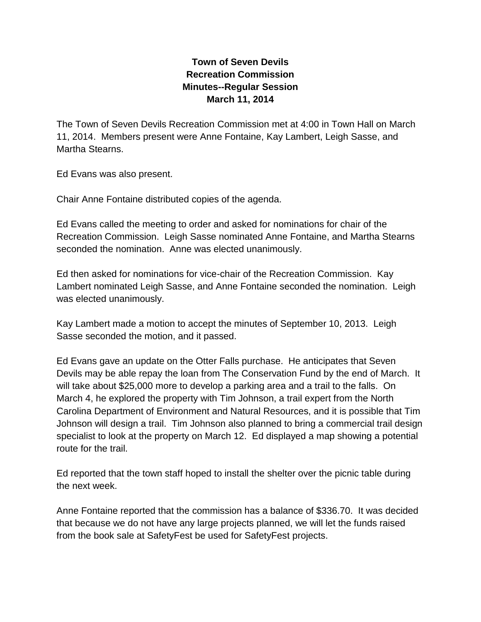## **Town of Seven Devils Recreation Commission Minutes--Regular Session March 11, 2014**

The Town of Seven Devils Recreation Commission met at 4:00 in Town Hall on March 11, 2014. Members present were Anne Fontaine, Kay Lambert, Leigh Sasse, and Martha Stearns.

Ed Evans was also present.

Chair Anne Fontaine distributed copies of the agenda.

Ed Evans called the meeting to order and asked for nominations for chair of the Recreation Commission. Leigh Sasse nominated Anne Fontaine, and Martha Stearns seconded the nomination. Anne was elected unanimously.

Ed then asked for nominations for vice-chair of the Recreation Commission. Kay Lambert nominated Leigh Sasse, and Anne Fontaine seconded the nomination. Leigh was elected unanimously.

Kay Lambert made a motion to accept the minutes of September 10, 2013. Leigh Sasse seconded the motion, and it passed.

Ed Evans gave an update on the Otter Falls purchase. He anticipates that Seven Devils may be able repay the loan from The Conservation Fund by the end of March. It will take about \$25,000 more to develop a parking area and a trail to the falls. On March 4, he explored the property with Tim Johnson, a trail expert from the North Carolina Department of Environment and Natural Resources, and it is possible that Tim Johnson will design a trail. Tim Johnson also planned to bring a commercial trail design specialist to look at the property on March 12. Ed displayed a map showing a potential route for the trail.

Ed reported that the town staff hoped to install the shelter over the picnic table during the next week.

Anne Fontaine reported that the commission has a balance of \$336.70. It was decided that because we do not have any large projects planned, we will let the funds raised from the book sale at SafetyFest be used for SafetyFest projects.